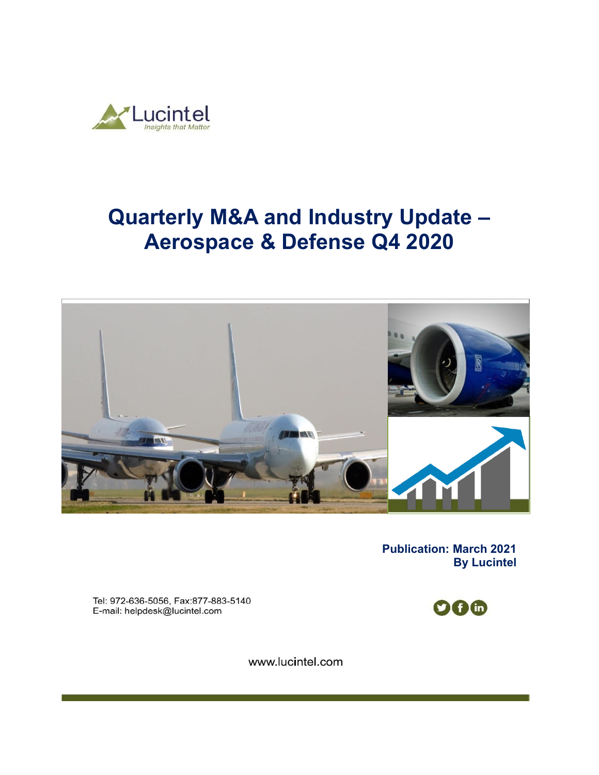

# **Quarterly M&A and Industry Update – Aerospace & Defense Q4 2020**



**Publication: March 2021 By Lucintel** 

Tel: 972-636-5056, Fax:877-883-5140 E-mail: helpdesk@lucintel.com



www.lucintel.com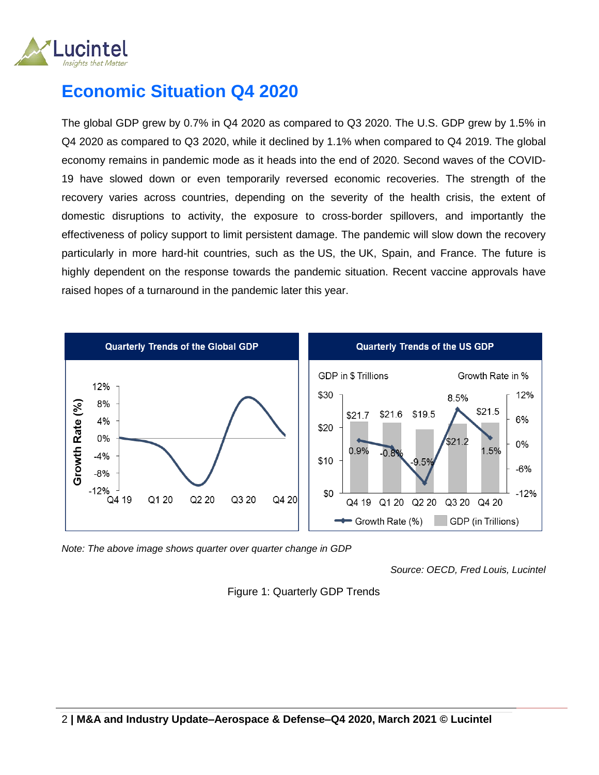

## **Economic Situation Q4 2020**

The global GDP grew by 0.7% in Q4 2020 as compared to Q3 2020. The U.S. GDP grew by 1.5% in Q4 2020 as compared to Q3 2020, while it declined by 1.1% when compared to Q4 2019. The global economy remains in pandemic mode as it heads into the end of 2020. Second waves of the COVID-19 have slowed down or even temporarily reversed economic recoveries. The strength of the recovery varies across countries, depending on the severity of the health crisis, the extent of domestic disruptions to activity, the exposure to cross-border spillovers, and importantly the effectiveness of policy support to limit persistent damage. The pandemic will slow down the recovery particularly in more hard-hit countries, such as the US, the UK, Spain, and France. The future is highly dependent on the response towards the pandemic situation. Recent vaccine approvals have raised hopes of a turnaround in the pandemic later this year.



*Note: The above image shows quarter over quarter change in GDP* 

*Source: OECD, Fred Louis, Lucintel*

Figure 1: Quarterly GDP Trends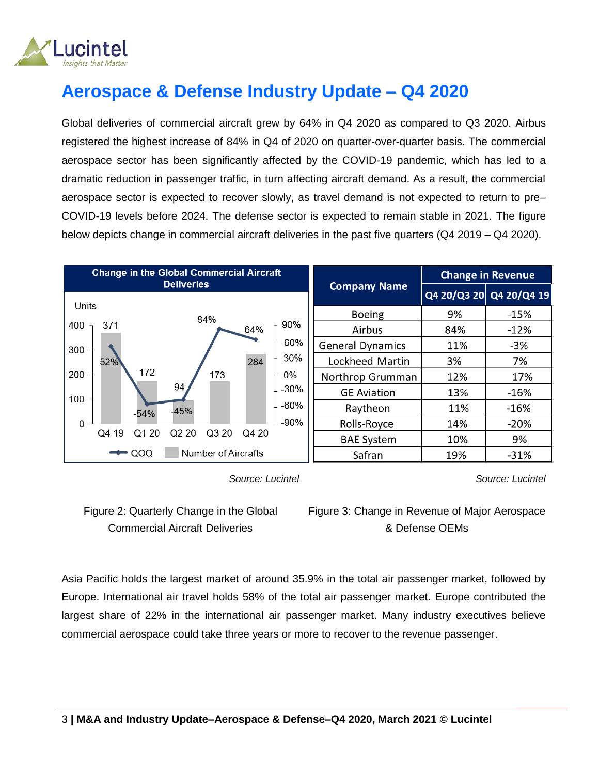

## **Aerospace & Defense Industry Update – Q4 2020**

Global deliveries of commercial aircraft grew by 64% in Q4 2020 as compared to Q3 2020. Airbus registered the highest increase of 84% in Q4 of 2020 on quarter-over-quarter basis. The commercial aerospace sector has been significantly affected by the COVID-19 pandemic, which has led to a dramatic reduction in passenger traffic, in turn affecting aircraft demand. As a result, the commercial aerospace sector is expected to recover slowly, as travel demand is not expected to return to pre– COVID-19 levels before 2024. The defense sector is expected to remain stable in 2021. The figure below depicts change in commercial aircraft deliveries in the past five quarters (Q4 2019 – Q4 2020).



 *Source: Lucintel*

Figure 2: Quarterly Change in the Global Commercial Aircraft Deliveries

Figure 3: Change in Revenue of Major Aerospace & Defense OEMs

*Source: Lucintel*

Asia Pacific holds the largest market of around 35.9% in the total air passenger market, followed by Europe. International air travel holds 58% of the total air passenger market. Europe contributed the largest share of 22% in the international air passenger market. Many industry executives believe commercial aerospace could take three years or more to recover to the revenue passenger.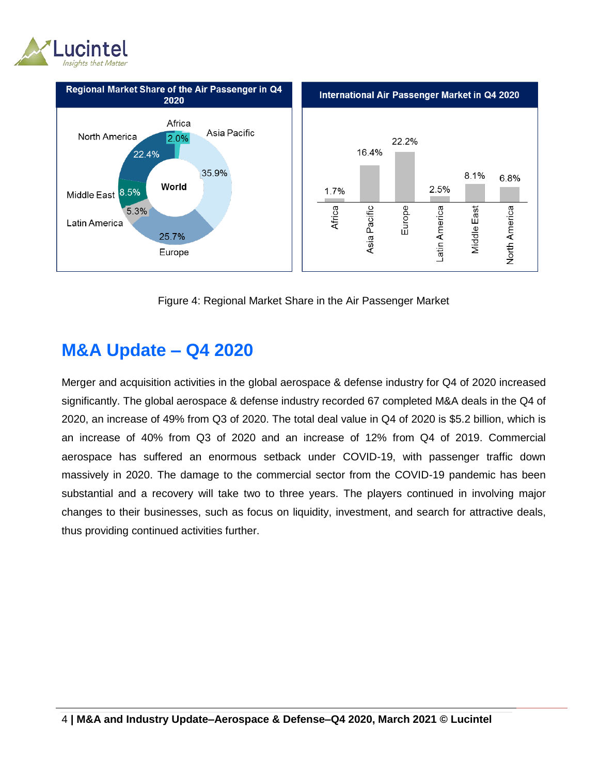



Figure 4: Regional Market Share in the Air Passenger Market

#### **M&A Update – Q4 2020**

Merger and acquisition activities in the global aerospace & defense industry for Q4 of 2020 increased significantly. The global aerospace & defense industry recorded 67 completed M&A deals in the Q4 of 2020, an increase of 49% from Q3 of 2020. The total deal value in Q4 of 2020 is \$5.2 billion, which is an increase of 40% from Q3 of 2020 and an increase of 12% from Q4 of 2019. Commercial aerospace has suffered an enormous setback under COVID-19, with passenger traffic down massively in 2020. The damage to the commercial sector from the COVID-19 pandemic has been substantial and a recovery will take two to three years. The players continued in involving major changes to their businesses, such as focus on liquidity, investment, and search for attractive deals, thus providing continued activities further.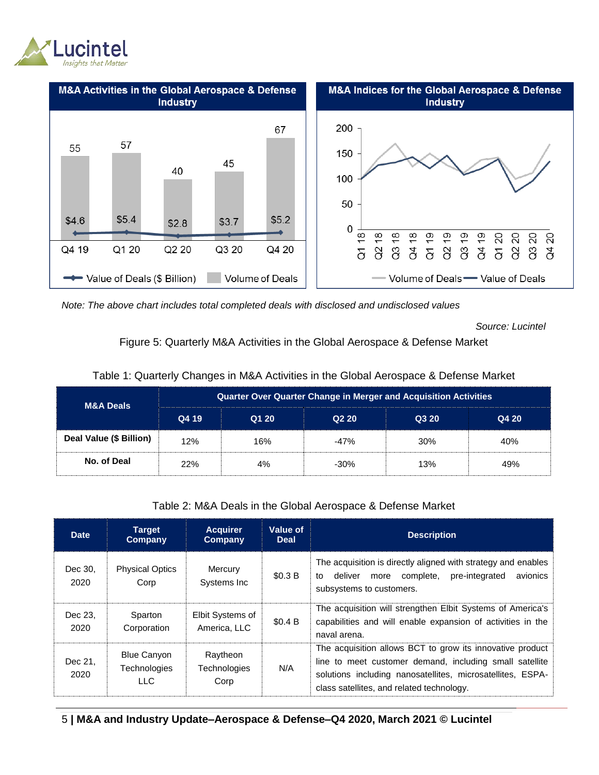



*Note: The above chart includes total completed deals with disclosed and undisclosed values*

*Source: Lucintel*

Figure 5: Quarterly M&A Activities in the Global Aerospace & Defense Market

| <b>M&amp;A Deals</b>    | <b>Quarter Over Quarter Change in Merger and Acquisition Activities</b> |       |        |       |       |  |  |  |
|-------------------------|-------------------------------------------------------------------------|-------|--------|-------|-------|--|--|--|
|                         | Q4 19                                                                   | Q1 20 | Q220   | Q3 20 | Q4 20 |  |  |  |
| Deal Value (\$ Billion) | 12%                                                                     | 16%   | $-47%$ | 30%   | 40%   |  |  |  |
| No. of Deal             | 22%                                                                     | 4%    | $-30%$ | 13%   | 49%   |  |  |  |

Table 2: M&A Deals in the Global Aerospace & Defense Market

| <b>Date</b>     | <b>Target</b><br>Company                          | <b>Acquirer</b><br>Company       | Value of<br><b>Deal</b> | <b>Description</b>                                                                                                                                                                                                              |
|-----------------|---------------------------------------------------|----------------------------------|-------------------------|---------------------------------------------------------------------------------------------------------------------------------------------------------------------------------------------------------------------------------|
| Dec 30.<br>2020 | <b>Physical Optics</b><br>Corp                    | Mercury<br>Systems Inc.          | \$0.3 B                 | The acquisition is directly aligned with strategy and enables<br>pre-integrated<br>complete,<br>avionics<br>deliver<br>to<br>more<br>subsystems to customers.                                                                   |
| Dec 23.<br>2020 | Sparton<br>Corporation                            | Elbit Systems of<br>America, LLC | \$0.4 B                 | The acquisition will strengthen Elbit Systems of America's<br>capabilities and will enable expansion of activities in the<br>naval arena.                                                                                       |
| Dec 21.<br>2020 | <b>Blue Canyon</b><br><b>Technologies</b><br>LLC. | Raytheon<br>Technologies<br>Corp | N/A                     | The acquisition allows BCT to grow its innovative product<br>line to meet customer demand, including small satellite<br>solutions including nanosatellites, microsatellites, ESPA-<br>class satellites, and related technology. |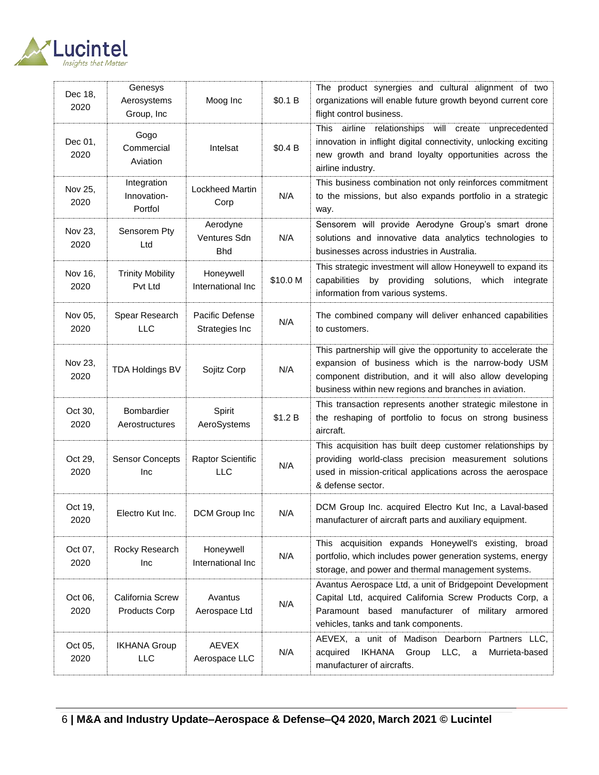

| Dec 18,<br>2020 | Genesys<br>Aerosystems<br>Group, Inc  | Moog Inc                               | \$0.1 B  | The product synergies and cultural alignment of two<br>organizations will enable future growth beyond current core<br>flight control business.                                                                                           |
|-----------------|---------------------------------------|----------------------------------------|----------|------------------------------------------------------------------------------------------------------------------------------------------------------------------------------------------------------------------------------------------|
| Dec 01,<br>2020 | Gogo<br>Commercial<br>Aviation        | Intelsat                               | \$0.4 B  | This airline relationships will create unprecedented<br>innovation in inflight digital connectivity, unlocking exciting<br>new growth and brand loyalty opportunities across the<br>airline industry.                                    |
| Nov 25,<br>2020 | Integration<br>Innovation-<br>Portfol | Lockheed Martin<br>Corp                | N/A      | This business combination not only reinforces commitment<br>to the missions, but also expands portfolio in a strategic<br>way.                                                                                                           |
| Nov 23,<br>2020 | Sensorem Pty<br>Ltd                   | Aerodyne<br>Ventures Sdn<br><b>Bhd</b> | N/A      | Sensorem will provide Aerodyne Group's smart drone<br>solutions and innovative data analytics technologies to<br>businesses across industries in Australia.                                                                              |
| Nov 16,<br>2020 | <b>Trinity Mobility</b><br>Pvt Ltd    | Honeywell<br>International Inc         | \$10.0 M | This strategic investment will allow Honeywell to expand its<br>capabilities by providing solutions,<br>which<br>integrate<br>information from various systems.                                                                          |
| Nov 05,<br>2020 | Spear Research<br><b>LLC</b>          | Pacific Defense<br>Strategies Inc      | N/A      | The combined company will deliver enhanced capabilities<br>to customers.                                                                                                                                                                 |
| Nov 23,<br>2020 | <b>TDA Holdings BV</b>                | Sojitz Corp                            | N/A      | This partnership will give the opportunity to accelerate the<br>expansion of business which is the narrow-body USM<br>component distribution, and it will also allow developing<br>business within new regions and branches in aviation. |
| Oct 30,<br>2020 | Bombardier<br>Aerostructures          | Spirit<br>AeroSystems                  | \$1.2 B  | This transaction represents another strategic milestone in<br>the reshaping of portfolio to focus on strong business<br>aircraft.                                                                                                        |
| Oct 29,<br>2020 | <b>Sensor Concepts</b><br>Inc         | Raptor Scientific<br><b>LLC</b>        | N/A      | This acquisition has built deep customer relationships by<br>providing world-class precision measurement solutions<br>used in mission-critical applications across the aerospace<br>& defense sector.                                    |
| Oct 19,<br>2020 | Electro Kut Inc.                      | DCM Group Inc                          | N/A      | DCM Group Inc. acquired Electro Kut Inc, a Laval-based<br>manufacturer of aircraft parts and auxiliary equipment.                                                                                                                        |
| Oct 07,<br>2020 | Rocky Research<br>Inc                 | Honeywell<br>International Inc         | N/A      | This acquisition expands Honeywell's existing, broad<br>portfolio, which includes power generation systems, energy<br>storage, and power and thermal management systems.                                                                 |
| Oct 06,<br>2020 | California Screw<br>Products Corp     | Avantus<br>Aerospace Ltd               | N/A      | Avantus Aerospace Ltd, a unit of Bridgepoint Development<br>Capital Ltd, acquired California Screw Products Corp, a<br>Paramount based manufacturer of military armored<br>vehicles, tanks and tank components.                          |
| Oct 05,<br>2020 | <b>IKHANA Group</b><br><b>LLC</b>     | <b>AEVEX</b><br>Aerospace LLC          | N/A      | AEVEX, a unit of Madison Dearborn Partners LLC,<br>LLC,<br>acquired<br><b>IKHANA</b><br>Group<br>Murrieta-based<br>a<br>manufacturer of aircrafts.                                                                                       |